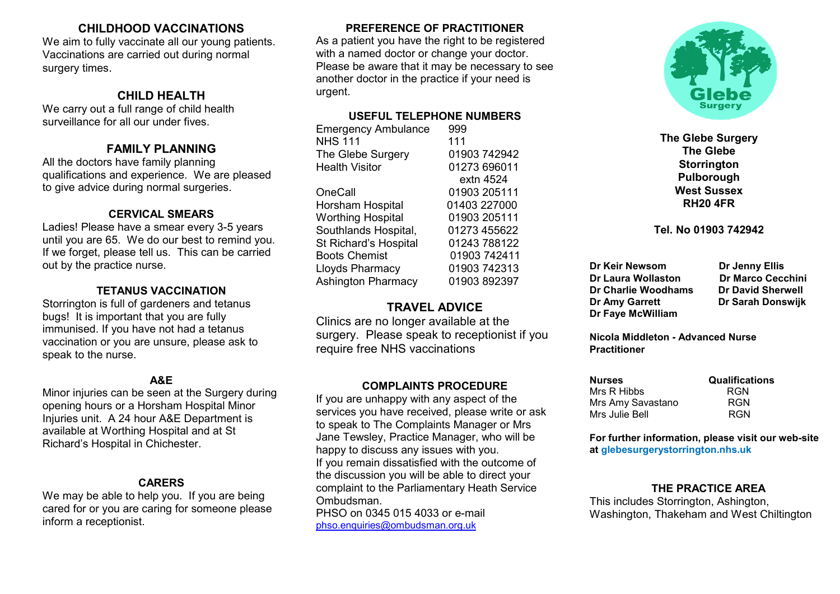## CHILDHOOD VACCINATIONS

We aim to fully vaccinate all our young patients. Vaccinations are carried out during normal surgery times.

# CHILD HEALTH

We carry out a full range of child health surveillance for all our under fives.

# FAMILY PLANNING

All the doctors have family planning qualifications and experience. We are pleased to give advice during normal surgeries.

## CERVICAL SMEARS

Ladies! Please have a smear every 3-5 years until you are 65. We do our best to remind you. If we forget, please tell us. This can be carried out by the practice nurse.

## TETANUS VACCINATION

Storrington is full of gardeners and tetanus bugs! It is important that you are fully immunised. If you have not had a tetanus vaccination or you are unsure, please ask to speak to the nurse.

## A&E

Minor injuries can be seen at the Surgery during opening hours or a Horsham Hospital Minor Injuries unit. A 24 hour A&E Department is available at Worthing Hospital and at St Richard's Hospital in Chichester.

#### CARERS

We may be able to help you. If you are being cared for or you are caring for someone please inform a receptionist.

## PREFERENCE OF PRACTITIONER

As a patient you have the right to be registered with a named doctor or change your doctor. Please be aware that it may be necessary to see another doctor in the practice if your need is urgent.

## USEFUL TELEPHONE NUMBERS

Emergency Ambulance 999 NHS 111<br>The Glebe Surgery 111<br>01903 742942 The Glebe Surgery<br>Health Visitor 01273 696011 extn 4524 OneCall 01903 205111 Horsham Hospital 01403 227000 Worthing Hospital 01903 205111 Southlands Hospital, 01273 455622 St Richard's Hospital 01243 788122 Boots Chemist 01903 742411 Lloyds Pharmacy 01903 742313 Ashington Pharmacy 01903 892397

## TRAVEL ADVICE

Clinics are no longer available at the surgery. Please speak to receptionist if you require free NHS vaccinations

## COMPLAINTS PROCEDURE

If you are unhappy with any aspect of the services you have received, please write or ask to speak to The Complaints Manager or Mrs Jane Tewsley, Practice Manager, who will be happy to discuss any issues with you. If you remain dissatisfied with the outcome of the discussion you will be able to direct your complaint to the Parliamentary Heath Service Ombudsman.

PHSO on 0345 015 4033 or e-mail phso.enquiries@ombudsman.org.uk



The Glebe Surgery The Glebe **Storrington** Pulborough West Sussex RH20 4FR

#### Tel. No 01903 742942

Dr Keir Newsom Dr Jenny Ellis Dr Laura Wollaston Dr Marco Cecchini Dr Charlie Woodhams Dr David Sherwell Dr Amy Garrett Dr Sarah Donswijk Dr Faye McWilliam

Nicola Middleton - Advanced Nurse **Practitioner** 

| <b>Nurses</b>     | <b>Qualifications</b> |
|-------------------|-----------------------|
| Mrs R Hibbs       | <b>RGN</b>            |
| Mrs Amy Savastano | RGN                   |
| Mrs Julie Bell    | <b>RGN</b>            |

For further information, please visit our web-site at glebesurgerystorrington.nhs.uk

## THE PRACTICE AREA

This includes Storrington, Ashington, Washington, Thakeham and West Chiltington